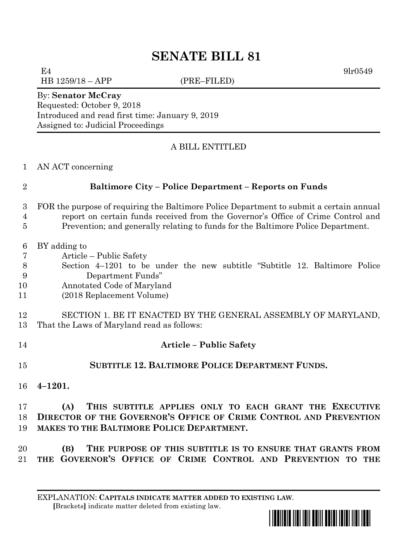# **SENATE BILL 81**

HB 1259/18 – APP (PRE–FILED)

 $E4$  9lr0549

#### By: **Senator McCray**

Requested: October 9, 2018 Introduced and read first time: January 9, 2019 Assigned to: Judicial Proceedings

## A BILL ENTITLED

AN ACT concerning

### **Baltimore City – Police Department – Reports on Funds**

- FOR the purpose of requiring the Baltimore Police Department to submit a certain annual report on certain funds received from the Governor's Office of Crime Control and
- Prevention; and generally relating to funds for the Baltimore Police Department.
- BY adding to
- Article Public Safety
- Section 4–1201 to be under the new subtitle "Subtitle 12. Baltimore Police Department Funds"
- Annotated Code of Maryland
- (2018 Replacement Volume)
- SECTION 1. BE IT ENACTED BY THE GENERAL ASSEMBLY OF MARYLAND, That the Laws of Maryland read as follows:
- **Article – Public Safety**
- **SUBTITLE 12. BALTIMORE POLICE DEPARTMENT FUNDS.**
- **4–1201.**

 **(A) THIS SUBTITLE APPLIES ONLY TO EACH GRANT THE EXECUTIVE DIRECTOR OF THE GOVERNOR'S OFFICE OF CRIME CONTROL AND PREVENTION MAKES TO THE BALTIMORE POLICE DEPARTMENT.**

 **(B) THE PURPOSE OF THIS SUBTITLE IS TO ENSURE THAT GRANTS FROM THE GOVERNOR'S OFFICE OF CRIME CONTROL AND PREVENTION TO THE** 

EXPLANATION: **CAPITALS INDICATE MATTER ADDED TO EXISTING LAW**.  **[**Brackets**]** indicate matter deleted from existing law.